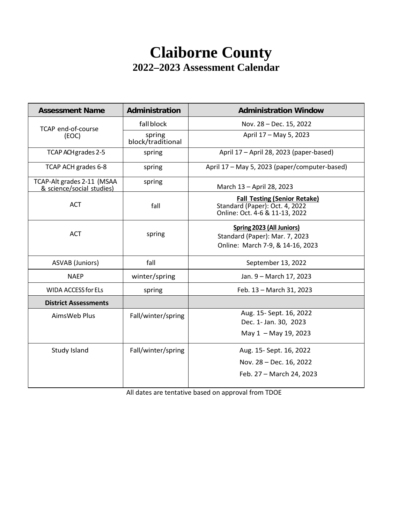# **Claiborne County 2022–2023 Assessment Calendar**

| <b>Assessment Name</b>                                  | Administration              | <b>Administration Window</b>                                                                            |  |
|---------------------------------------------------------|-----------------------------|---------------------------------------------------------------------------------------------------------|--|
| TCAP end-of-course                                      | fall block                  | Nov. 28 - Dec. 15, 2022                                                                                 |  |
| (EOC)                                                   | spring<br>block/traditional | April 17 - May 5, 2023                                                                                  |  |
| TCAP ACH grades 2-5                                     | spring                      | April 17 - April 28, 2023 (paper-based)                                                                 |  |
| TCAP ACH grades 6-8                                     | spring                      | April 17 - May 5, 2023 (paper/computer-based)                                                           |  |
| TCAP-Alt grades 2-11 (MSAA<br>& science/social studies) | spring                      | March 13 - April 28, 2023                                                                               |  |
| <b>ACT</b>                                              | fall                        | <b>Fall Testing (Senior Retake)</b><br>Standard (Paper): Oct. 4, 2022<br>Online: Oct. 4-6 & 11-13, 2022 |  |
| <b>ACT</b>                                              | spring                      | Spring 2023 (All Juniors)<br>Standard (Paper): Mar. 7, 2023<br>Online: March 7-9, & 14-16, 2023         |  |
| <b>ASVAB</b> (Juniors)                                  | fall                        | September 13, 2022                                                                                      |  |
| <b>NAEP</b>                                             | winter/spring               | Jan. 9 - March 17, 2023                                                                                 |  |
| <b>WIDA ACCESS for ELs</b>                              | spring                      | Feb. 13 - March 31, 2023                                                                                |  |
| <b>District Assessments</b>                             |                             |                                                                                                         |  |
| AimsWeb Plus                                            | Fall/winter/spring          | Aug. 15- Sept. 16, 2022<br>Dec. 1- Jan. 30, 2023                                                        |  |
|                                                         |                             | May 1 - May 19, 2023                                                                                    |  |
| Study Island                                            | Fall/winter/spring          | Aug. 15- Sept. 16, 2022                                                                                 |  |
|                                                         |                             | Nov. 28 - Dec. 16, 2022                                                                                 |  |
|                                                         |                             | Feb. 27 - March 24, 2023                                                                                |  |

All dates are tentative based on approval from TDOE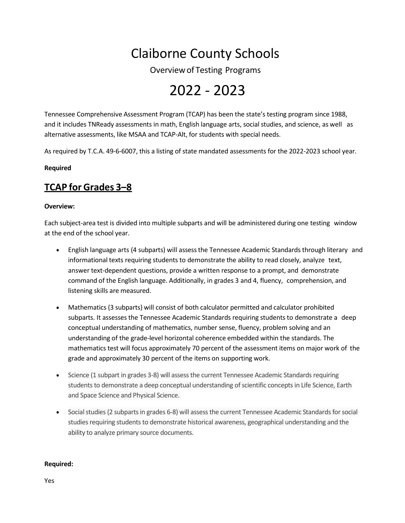# Claiborne County Schools

Overviewof Testing Programs

# 2022 - 2023

Tennessee Comprehensive Assessment Program (TCAP) has been the state's testing program since 1988, and it includes TNReady assessments in math, English language arts, social studies, and science, as well as alternative assessments, like MSAA and TCAP-Alt, for students with special needs.

As required by T.C.A. 49-6-6007, this a listing of state mandated assessments for the 2022-2023 school year.

#### **Required**

# **TCAP for Grades 3–8**

#### **Overview:**

Each subject-area test is divided into multiple subparts and will be administered during one testing window at the end of the school year.

- English language arts (4 subparts) will assessthe Tennessee Academic Standards through literary and informational texts requiring students to demonstrate the ability to read closely, analyze text, answer text-dependent questions, provide a written response to a prompt, and demonstrate command of the English language. Additionally, in grades 3 and 4, fluency, comprehension, and listening skills are measured.
- Mathematics (3 subparts) will consist of both calculator permitted and calculator prohibited subparts. It assesses the Tennessee Academic Standards requiring students to demonstrate a deep conceptual understanding of mathematics, number sense, fluency, problem solving and an understanding of the grade-level horizontal coherence embedded within the standards. The mathematics test will focus approximately 70 percent of the assessment items on major work of the grade and approximately 30 percent of the items on supporting work.
- Science (1 subpart in grades 3-8) will assess the current Tennessee Academic Standards requiring students to demonstrate a deep conceptual understanding of scientific concepts in Life Science, Earth and Space Science and Physical Science.
- Social studies (2 subparts in grades 6-8) will assess the current Tennessee Academic Standards for social studies requiring students to demonstrate historical awareness, geographical understanding and the ability to analyze primary source documents.

#### **Required:**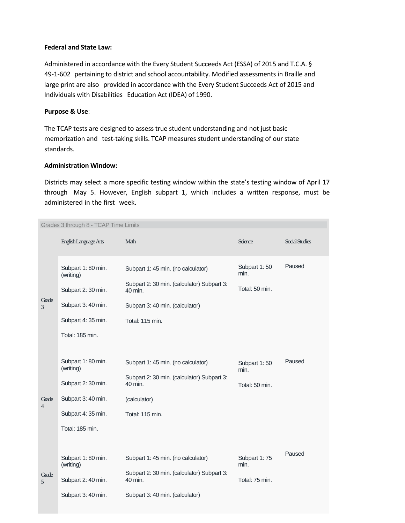#### **Federal and State Law:**

Administered in accordance with the Every Student Succeeds Act (ESSA) of 2015 and T.C.A. § 49-1-602 pertaining to district and school accountability. Modified assessments in Braille and large print are also provided in accordance with the Every Student Succeeds Act of 2015 and Individuals with Disabilities Education Act (IDEA) of 1990.

#### **Purpose & Use**:

The TCAP tests are designed to assess true student understanding and not just basic memorization and test-taking skills. TCAP measures student understanding of our state standards.

#### **Administration Window:**

Districts may select a more specific testing window within the state's testing window of April 17 through May 5. However, English subpart 1, which includes a written response, must be administered in the first week.

| Grades 3 through 8 - TCAP Time Limits |                                                                                                                      |                                                                                                                                                   |                                        |                       |  |  |  |
|---------------------------------------|----------------------------------------------------------------------------------------------------------------------|---------------------------------------------------------------------------------------------------------------------------------------------------|----------------------------------------|-----------------------|--|--|--|
|                                       | English Language Arts                                                                                                | Math                                                                                                                                              | Science                                | <b>Social Studies</b> |  |  |  |
| Grade<br>3                            | Subpart 1: 80 min.<br>(writing)<br>Subpart 2: 30 min.<br>Subpart 3: 40 min.<br>Subpart 4: 35 min.<br>Total: 185 min. | Subpart 1: 45 min. (no calculator)<br>Subpart 2: 30 min. (calculator) Subpart 3:<br>40 min.<br>Subpart 3: 40 min. (calculator)<br>Total: 115 min. | Subpart 1:50<br>min.<br>Total: 50 min. | Paused                |  |  |  |
| Grade<br>$\overline{4}$               | Subpart 1: 80 min.<br>(writing)<br>Subpart 2: 30 min.<br>Subpart 3: 40 min.<br>Subpart 4: 35 min.<br>Total: 185 min. | Subpart 1: 45 min. (no calculator)<br>Subpart 2: 30 min. (calculator) Subpart 3:<br>40 min.<br>(calculator)<br>Total: 115 min.                    | Subpart 1:50<br>min.<br>Total: 50 min. | Paused                |  |  |  |
| Grade<br>$\overline{5}$               | Subpart 1: 80 min.<br>(writing)<br>Subpart 2: 40 min.<br>Subpart 3: 40 min.                                          | Subpart 1: 45 min. (no calculator)<br>Subpart 2: 30 min. (calculator) Subpart 3:<br>40 min.<br>Subpart 3: 40 min. (calculator)                    | Subpart 1:75<br>min.<br>Total: 75 min. | Paused                |  |  |  |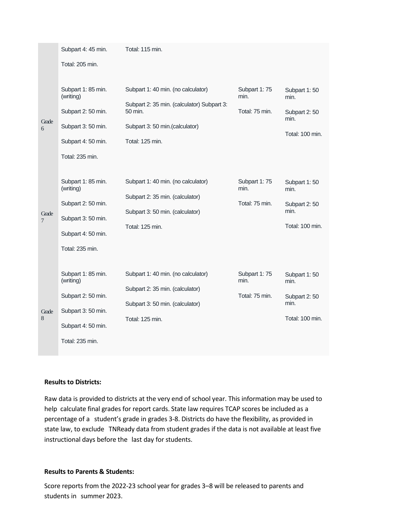|                         | Subpart 4: 45 min.                                                                                                   | Total: 115 min.                                                                                                                                  |                                         |                                                                 |
|-------------------------|----------------------------------------------------------------------------------------------------------------------|--------------------------------------------------------------------------------------------------------------------------------------------------|-----------------------------------------|-----------------------------------------------------------------|
|                         | Total: 205 min.                                                                                                      |                                                                                                                                                  |                                         |                                                                 |
| Grade<br>6              | Subpart 1: 85 min.<br>(writing)<br>Subpart 2: 50 min.<br>Subpart 3: 50 min.<br>Subpart 4: 50 min.<br>Total: 235 min. | Subpart 1: 40 min. (no calculator)<br>Subpart 2: 35 min. (calculator) Subpart 3:<br>50 min.<br>Subpart 3: 50 min.(calculator)<br>Total: 125 min. | Subpart 1:75<br>min.<br>Total: 75 min.  | Subpart 1:50<br>min.<br>Subpart 2:50<br>min.<br>Total: 100 min. |
| Grade<br>$\overline{7}$ | Subpart 1: 85 min.<br>(writing)<br>Subpart 2: 50 min.<br>Subpart 3: 50 min.<br>Subpart 4: 50 min.<br>Total: 235 min. | Subpart 1: 40 min. (no calculator)<br>Subpart 2: 35 min. (calculator)<br>Subpart 3: 50 min. (calculator)<br>Total: 125 min.                      | Subpart 1: 75<br>min.<br>Total: 75 min. | Subpart 1:50<br>min.<br>Subpart 2:50<br>min.<br>Total: 100 min. |
| Grade<br>8              | Subpart 1: 85 min.<br>(writing)<br>Subpart 2: 50 min.<br>Subpart 3: 50 min.<br>Subpart 4: 50 min.<br>Total: 235 min. | Subpart 1: 40 min. (no calculator)<br>Subpart 2: 35 min. (calculator)<br>Subpart 3: 50 min. (calculator)<br>Total: 125 min.                      | Subpart 1:75<br>min.<br>Total: 75 min.  | Subpart 1:50<br>min.<br>Subpart 2:50<br>min.<br>Total: 100 min. |

#### **Results to Districts:**

Raw data is provided to districts at the very end of school year. This information may be used to help calculate final grades for report cards. State law requires TCAP scores be included as a percentage of a student's grade in grades 3-8. Districts do have the flexibility, as provided in state law, to exclude TNReady data from student grades if the data is not available at least five instructional days before the last day for students.

#### **Results to Parents & Students:**

Score reports from the 2022-23 school year for grades 3–8 will be released to parents and students in summer 2023.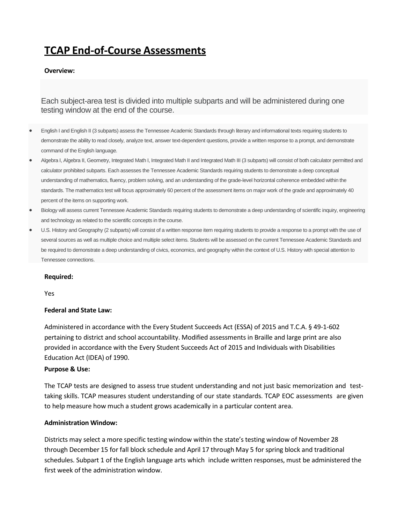# **TCAP End-of-Course Assessments**

#### **Overview:**

Each subject-area test is divided into multiple subparts and will be administered during one testing window at the end of the course.

- English I and English II (3 subparts) assess the Tennessee Academic Standards through literary and informational texts requiring students to demonstrate the ability to read closely, analyze text, answer text-dependent questions, provide a written response to a prompt, and demonstrate command of the English language.
- Algebra I, Algebra II, Geometry, Integrated Math I, Integrated Math II and Integrated Math III (3 subparts) will consist of both calculator permitted and calculator prohibited subparts. Each assesses the Tennessee Academic Standards requiring students to demonstrate a deep conceptual understanding of mathematics, fluency, problem solving, and an understanding of the grade-level horizontal coherence embedded within the standards. The mathematics test will focus approximately 60 percent of the assessment items on major work of the grade and approximately 40 percent of the items on supporting work.
- Biology will assess current Tennessee Academic Standards requiring students to demonstrate a deep understanding of scientific inquiry, engineering and technology as related to the scientific concepts in the course.
- U.S. History and Geography (2 subparts) will consist of a written response item requiring students to provide a response to a prompt with the use of several sources as well as multiple choice and multiple select items. Students will be assessed on the current Tennessee Academic Standards and be required to demonstrate a deep understanding of civics, economics, and geography within the context of U.S. History with special attention to Tennessee connections.

#### **Required:**

Yes

#### **Federal and State Law:**

Administered in accordance with the Every Student Succeeds Act (ESSA) of 2015 and T.C.A. § 49-1-602 pertaining to district and school accountability. Modified assessments in Braille and large print are also provided in accordance with the Every Student Succeeds Act of 2015 and Individuals with Disabilities Education Act (IDEA) of 1990.

#### **Purpose & Use:**

The TCAP tests are designed to assess true student understanding and not just basic memorization and testtaking skills. TCAP measures student understanding of our state standards. TCAP EOC assessments are given to help measure how much a student grows academically in a particular content area.

#### **Administration Window:**

Districts may select a more specific testing window within the state's testing window of November 28 through December 15 for fall block schedule and April 17 through May 5 for spring block and traditional schedules. Subpart 1 of the English language arts which include written responses, must be administered the first week of the administration window.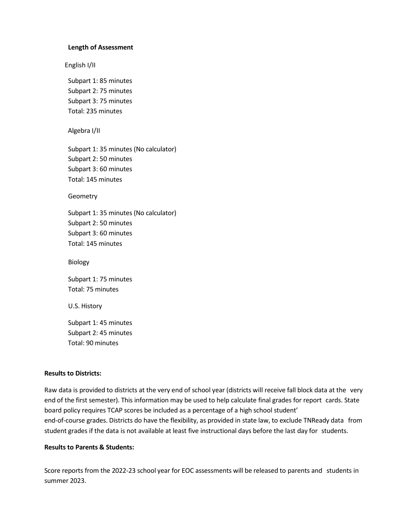#### **Length of Assessment**

English I/II

Subpart 1: 85 minutes Subpart 2: 75 minutes Subpart 3: 75 minutes Total: 235 minutes

Algebra I/II

Subpart 1: 35 minutes (No calculator) Subpart 2: 50 minutes Subpart 3: 60 minutes Total: 145 minutes

Geometry

Subpart 1: 35 minutes (No calculator) Subpart 2: 50 minutes Subpart 3: 60 minutes Total: 145 minutes

Biology

Subpart 1: 75 minutes Total: 75 minutes

U.S. History

Subpart 1: 45 minutes Subpart 2: 45 minutes Total: 90 minutes

#### **Results to Districts:**

Raw data is provided to districts at the very end of school year (districts will receive fall block data at the very end of the first semester). This information may be used to help calculate final grades for report cards. State board policy requires TCAP scores be included as a percentage of a high school student' end-of-course grades. Districts do have the flexibility, as provided in state law, to exclude TNReady data from student grades if the data is not available at least five instructional days before the last day for students.

#### **Results to Parents & Students:**

Score reports from the 2022-23 school year for EOC assessments will be released to parents and students in summer 2023.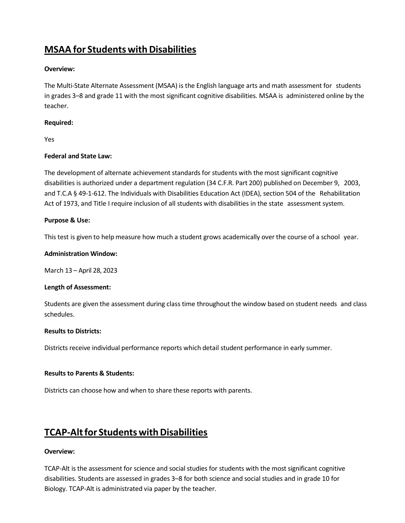# **MSAA** for Students with Disabilities

#### **Overview:**

The Multi-State Alternate Assessment (MSAA) is the English language arts and math assessment for students in grades 3–8 and grade 11 with the most significant cognitive disabilities. MSAA is administered online by the teacher.

#### **Required:**

Yes

#### **Federal and State Law:**

The development of alternate achievement standards for students with the most significant cognitive disabilities is authorized under a department regulation (34 C.F.R. Part 200) published on December 9, 2003, and T.C.A § 49-1-612. The Individuals with Disabilities Education Act (IDEA), section 504 of the Rehabilitation Act of 1973, and Title I require inclusion of all students with disabilities in the state assessment system.

#### **Purpose & Use:**

This test is given to help measure how much a student grows academically over the course of a school year.

#### **Administration Window:**

March 13 – April 28, 2023

#### **Length of Assessment:**

Students are given the assessment during class time throughout the window based on student needs and class schedules.

#### **Results to Districts:**

Districts receive individual performance reports which detail student performance in early summer.

#### **Results to Parents & Students:**

Districts can choose how and when to share these reports with parents.

# **TCAP-Alt for Students with Disabilities**

#### **Overview:**

TCAP-Alt is the assessment for science and social studies for students with the most significant cognitive disabilities. Students are assessed in grades 3–8 for both science and social studies and in grade 10 for Biology. TCAP-Alt is administrated via paper by the teacher.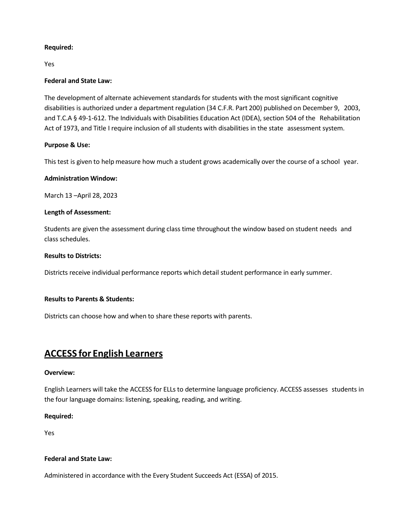#### **Required:**

Yes

#### **Federal and State Law:**

The development of alternate achievement standards for students with the most significant cognitive disabilities is authorized under a department regulation (34 C.F.R. Part 200) published on December 9, 2003, and T.C.A § 49-1-612. The Individuals with Disabilities Education Act (IDEA), section 504 of the Rehabilitation Act of 1973, and Title I require inclusion of all students with disabilities in the state assessment system.

#### **Purpose & Use:**

This test is given to help measure how much a student grows academically over the course of a school year.

#### **Administration Window:**

March 13 –April 28, 2023

#### **Length of Assessment:**

Students are given the assessment during class time throughout the window based on student needs and class schedules.

#### **Results to Districts:**

Districts receive individual performance reports which detail student performance in early summer.

#### **Results to Parents & Students:**

Districts can choose how and when to share these reports with parents.

# **ACCESS for English Learners**

#### **Overview:**

English Learners will take the ACCESS for ELLsto determine language proficiency. ACCESS assesses students in the four language domains: listening, speaking, reading, and writing.

#### **Required:**

Yes

#### **Federal and State Law:**

Administered in accordance with the Every Student Succeeds Act (ESSA) of 2015.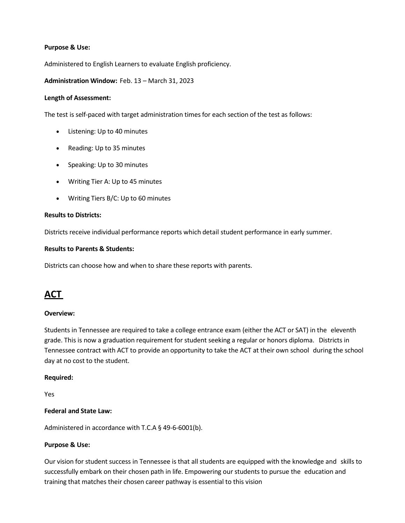#### **Purpose & Use:**

Administered to English Learners to evaluate English proficiency.

#### **Administration Window:** Feb. 13 – March 31, 2023

#### **Length of Assessment:**

The test is self-paced with target administration times for each section of the test as follows:

- Listening: Up to 40 minutes
- Reading: Up to 35 minutes
- Speaking: Up to 30 minutes
- Writing Tier A: Up to 45 minutes
- Writing Tiers B/C: Up to 60 minutes

#### **Results to Districts:**

Districts receive individual performance reports which detail student performance in early summer.

#### **Results to Parents & Students:**

Districts can choose how and when to share these reports with parents.

# **ACT**

#### **Overview:**

Students in Tennessee are required to take a college entrance exam (either the ACT or SAT) in the eleventh grade. This is now a graduation requirement for student seeking a regular or honors diploma. Districts in Tennessee contract with ACT to provide an opportunity to take the ACT at their own school during the school day at no cost to the student.

#### **Required:**

Yes

#### **Federal and State Law:**

Administered in accordance with T.C.A § 49-6-6001(b).

#### **Purpose & Use:**

Our vision for student success in Tennessee is that all students are equipped with the knowledge and skills to successfully embark on their chosen path in life. Empowering our students to pursue the education and training that matches their chosen career pathway is essential to this vision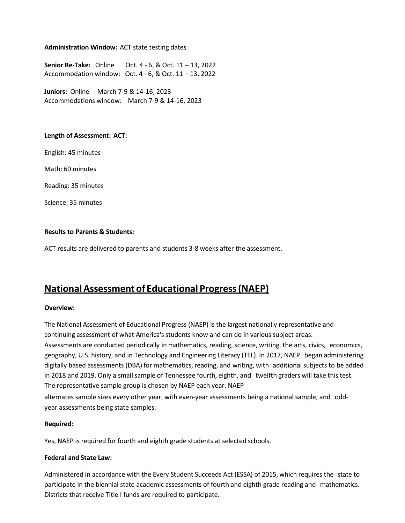#### **Administration Window:** ACT state testing dates

**Senior Re-Take:** Online Oct. 4 - 6, & Oct. 11 – 13, 2022 Accommodation window: Oct. 4 - 6, & Oct. 11 – 13, 2022

**Juniors:** Online March 7-9 & 14-16, 2023 Accommodations window: March 7-9 & 14-16, 2023

#### **Length of Assessment: ACT:**

English: 45 minutes

Math: 60 minutes

Reading: 35 minutes

Science: 35 minutes

#### **Results to Parents & Students:**

ACT results are delivered to parents and students 3-8 weeks after the assessment.

# **NationalAssessmentof Educational Progress(NAEP)**

#### **Overview:**

The National Assessment of Educational Progress (NAEP) is the largest nationally representative and continuing assessment of what America's students know and can do in various subject areas. Assessments are conducted periodically in mathematics, reading, science, writing, the arts, civics, economics, geography, U.S. history, and in Technology and Engineering Literacy (TEL). In 2017, NAEP began administering digitally based assessments (DBA) for mathematics, reading, and writing, with additional subjects to be added in 2018 and 2019. Only a small sample of Tennessee fourth, eighth, and twelfth graders will take this test. The representative sample group is chosen by NAEP each year. NAEP alternates sample sizes every other year, with even-year assessments being a national sample, and odd-

year assessments being state samples.

#### **Required:**

Yes, NAEP is required for fourth and eighth grade students at selected schools.

#### **Federal and State Law:**

Administered in accordance with the Every Student Succeeds Act (ESSA) of 2015, which requires the state to participate in the biennial state academic assessments of fourth and eighth grade reading and mathematics. Districts that receive Title I funds are required to participate.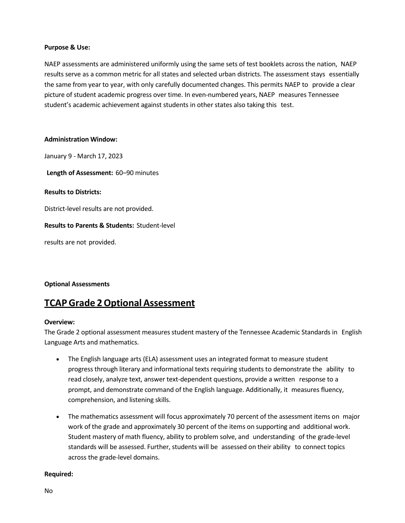#### **Purpose & Use:**

NAEP assessments are administered uniformly using the same sets of test booklets across the nation, NAEP results serve as a common metric for all states and selected urban districts. The assessment stays essentially the same from year to year, with only carefully documented changes. This permits NAEP to provide a clear picture of student academic progress over time. In even-numbered years, NAEP measures Tennessee student's academic achievement against students in other states also taking this test.

#### **Administration Window:**

January 9 - March 17, 2023

**Length of Assessment:** 60–90 minutes

#### **Results to Districts:**

District-level results are not provided.

#### **Results to Parents & Students:** Student-level

results are not provided.

**Optional Assessments**

# **TCAPGrade 2Optional Assessment**

#### **Overview:**

The Grade 2 optional assessment measures student mastery of the Tennessee Academic Standards in English Language Arts and mathematics.

- The English language arts (ELA) assessment uses an integrated format to measure student progress through literary and informational texts requiring students to demonstrate the ability to read closely, analyze text, answer text-dependent questions, provide a written response to a prompt, and demonstrate command of the English language. Additionally, it measures fluency, comprehension, and listening skills.
- The mathematics assessment will focus approximately 70 percent of the assessment items on major work of the grade and approximately 30 percent of the items on supporting and additional work. Student mastery of math fluency, ability to problem solve, and understanding of the grade-level standards will be assessed. Further, students will be assessed on their ability to connect topics across the grade-level domains.

#### **Required:**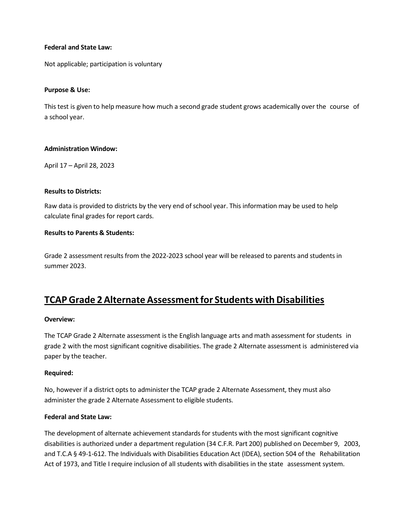#### **Federal and State Law:**

Not applicable; participation is voluntary

#### **Purpose & Use:**

This test is given to help measure how much a second grade student grows academically over the course of a school year.

#### **Administration Window:**

April 17 – April 28, 2023

#### **Results to Districts:**

Raw data is provided to districts by the very end of school year. This information may be used to help calculate final grades for report cards.

#### **Results to Parents & Students:**

Grade 2 assessment results from the 2022-2023 school year will be released to parents and students in summer 2023.

# **TCAP Grade 2 Alternate Assessment for Students with Disabilities**

#### **Overview:**

The TCAP Grade 2 Alternate assessment is the English language arts and math assessment for students in grade 2 with the most significant cognitive disabilities. The grade 2 Alternate assessment is administered via paper by the teacher.

#### **Required:**

No, however if a district opts to administer the TCAP grade 2 Alternate Assessment, they must also administer the grade 2 Alternate Assessment to eligible students.

#### **Federal and State Law:**

The development of alternate achievement standards for students with the most significant cognitive disabilities is authorized under a department regulation (34 C.F.R. Part 200) published on December 9, 2003, and T.C.A § 49-1-612. The Individuals with Disabilities Education Act (IDEA), section 504 of the Rehabilitation Act of 1973, and Title I require inclusion of all students with disabilities in the state assessment system.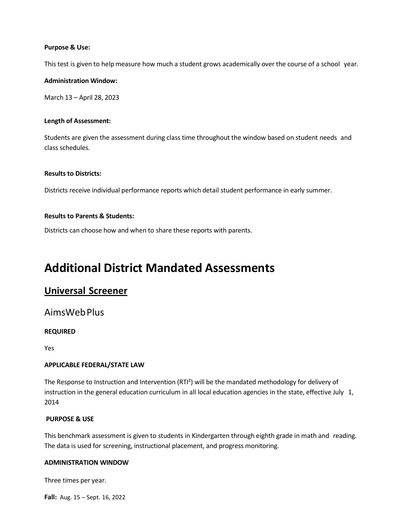#### **Purpose & Use:**

This test is given to help measure how much a student grows academically over the course of a school year.

#### **Administration Window:**

March 13 – April 28, 2023

#### **Length of Assessment:**

Students are given the assessment during class time throughout the window based on student needs and class schedules.

#### **Results to Districts:**

Districts receive individual performance reports which detail student performance in early summer.

#### **Results to Parents & Students:**

Districts can choose how and when to share these reports with parents.

# **Additional District Mandated Assessments**

# **Universal Screener**

### AimsWebPlus

#### **REQUIRED**

Yes

#### **APPLICABLE FEDERAL/STATE LAW**

The Response to Instruction and Intervention (RTI²) will be the mandated methodology for delivery of instruction in the general education curriculum in all local education agencies in the state, effective July 1, 2014

#### **PURPOSE & USE**

This benchmark assessment is given to students in Kindergarten through eighth grade in math and reading. The data is used for screening, instructional placement, and progress monitoring.

#### **ADMINISTRATION WINDOW**

Three times per year.

**Fall:** Aug. 15 – Sept. 16, 2022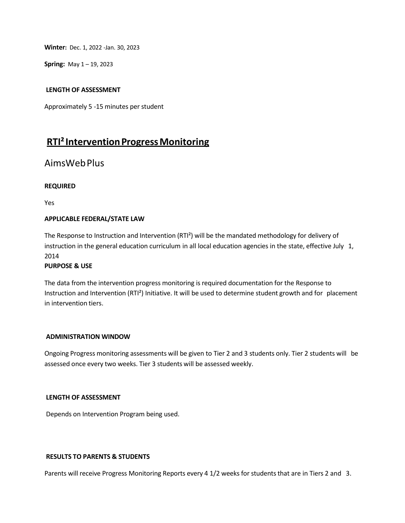**Winter:** Dec. 1, 2022 -Jan. 30, 2023

**Spring:** May 1 – 19, 2023

#### **LENGTH OF ASSESSMENT**

Approximately 5 -15 minutes per student

# **RTI<sup>2</sup> Intervention Progress Monitoring**

### AimsWebPlus

#### **REQUIRED**

Yes

#### **APPLICABLE FEDERAL/STATE LAW**

The Response to Instruction and Intervention (RTI²) will be the mandated methodology for delivery of instruction in the general education curriculum in all local education agencies in the state, effective July 1, 2014

#### **PURPOSE & USE**

The data from the intervention progress monitoring is required documentation for the Response to Instruction and Intervention (RTI²) Initiative. It will be used to determine student growth and for placement in intervention tiers.

#### **ADMINISTRATION WINDOW**

Ongoing Progress monitoring assessments will be given to Tier 2 and 3 students only. Tier 2 students will be assessed once every two weeks. Tier 3 students will be assessed weekly.

#### **LENGTH OF ASSESSMENT**

Depends on Intervention Program being used.

#### **RESULTS TO PARENTS & STUDENTS**

Parents will receive Progress Monitoring Reports every 4 1/2 weeks for students that are in Tiers 2 and 3.